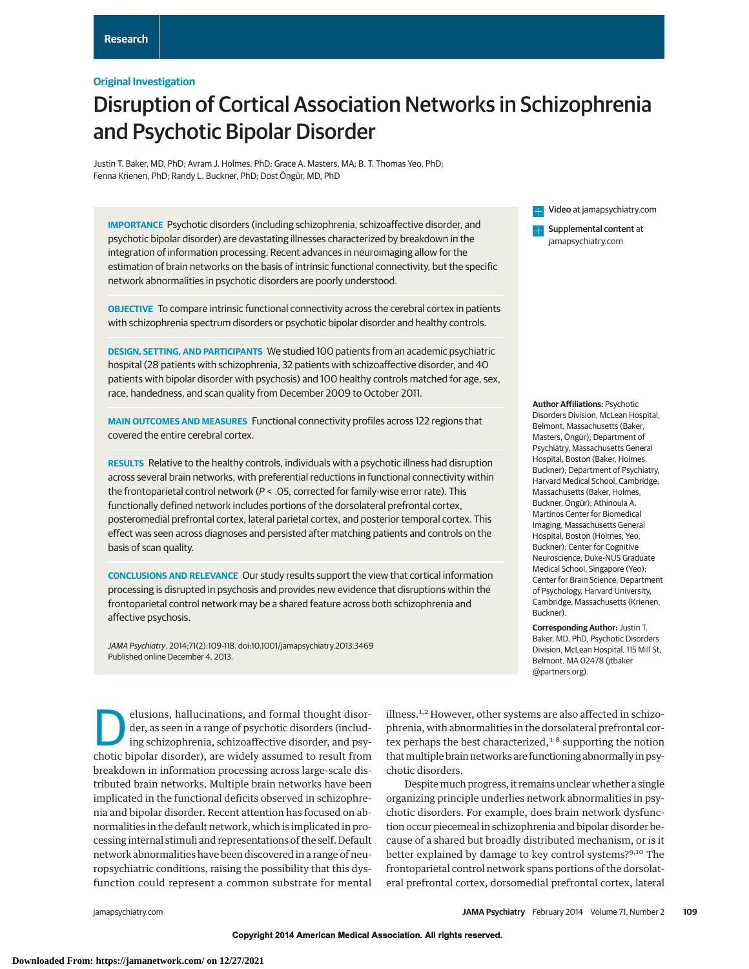# **Original Investigation**

# Disruption of Cortical Association Networks in Schizophrenia and Psychotic Bipolar Disorder

Justin T. Baker, MD, PhD; Avram J. Holmes, PhD; Grace A. Masters, MA; B. T. Thomas Yeo, PhD; Fenna Krienen, PhD; Randy L. Buckner, PhD; Dost Öngür, MD, PhD

**IMPORTANCE** Psychotic disorders (including schizophrenia, schizoaffective disorder, and psychotic bipolar disorder) are devastating illnesses characterized by breakdown in the integration of information processing. Recent advances in neuroimaging allow for the estimation of brain networks on the basis of intrinsic functional connectivity, but the specific network abnormalities in psychotic disorders are poorly understood.

**OBJECTIVE** To compare intrinsic functional connectivity across the cerebral cortex in patients with schizophrenia spectrum disorders or psychotic bipolar disorder and healthy controls.

**DESIGN, SETTING, AND PARTICIPANTS** We studied 100 patients from an academic psychiatric hospital (28 patients with schizophrenia, 32 patients with schizoaffective disorder, and 40 patients with bipolar disorder with psychosis) and 100 healthy controls matched for age, sex, race, handedness, and scan quality from December 2009 to October 2011.

**MAIN OUTCOMES AND MEASURES** Functional connectivity profiles across 122 regions that covered the entire cerebral cortex.

**RESULTS** Relative to the healthy controls, individuals with a psychotic illness had disruption across several brain networks, with preferential reductions in functional connectivity within the frontoparietal control network ( $P <$  .05, corrected for family-wise error rate). This functionally defined network includes portions of the dorsolateral prefrontal cortex, posteromedial prefrontal cortex, lateral parietal cortex, and posterior temporal cortex. This effect was seen across diagnoses and persisted after matching patients and controls on the basis of scan quality.

**CONCLUSIONS AND RELEVANCE** Our study results support the view that cortical information processing is disrupted in psychosis and provides new evidence that disruptions within the frontoparietal control network may be a shared feature across both schizophrenia and affective psychosis.

JAMA Psychiatry. 2014;71(2):109-118. doi:10.1001/jamapsychiatry.2013.3469 Published online December 4, 2013.

elusions, hallucinations, and formal thought disorder, as seen in a range of psychotic disorders (including schizophrenia, schizoaffective disorder, and psychotic bipolar disorder), are widely assumed to result from breakdown in information processing across large-scale distributed brain networks. Multiple brain networks have been implicated in the functional deficits observed in schizophrenia and bipolar disorder. Recent attention has focused on abnormalities in the default network, which is implicated in processing internal stimuli and representations of the self. Default network abnormalities have been discovered in a range of neuropsychiatric conditions, raising the possibility that this dysfunction could represent a common substrate for mental

illness.<sup>1,2</sup> However, other systems are also affected in schizophrenia, with abnormalities in the dorsolateral prefrontal cortex perhaps the best characterized, $3-8$  supporting the notion that multiple brain networks are functioning abnormally in psychotic disorders.

Buckner).

**Corresponding Author:** Justin T. Baker, MD, PhD, Psychotic Disorders Division, McLean Hospital, 115 Mill St, Belmont, MA 02478 (jtbaker @partners.org).

Despite much progress, it remains unclear whether a single organizing principle underlies network abnormalities in psychotic disorders. For example, does brain network dysfunction occur piecemeal in schizophrenia and bipolar disorder because of a shared but broadly distributed mechanism, or is it better explained by damage to key control systems?<sup>9,10</sup> The frontoparietal control network spans portions of the dorsolateral prefrontal cortex, dorsomedial prefrontal cortex, lateral

**F** Video at jamapsychiatry.com Supplemental content at jamapsychiatry.com

 $\pm$ 

**Author Affiliations:** Psychotic Disorders Division, McLean Hospital, Belmont, Massachusetts (Baker, Masters, Öngür); Department of Psychiatry, Massachusetts General Hospital, Boston (Baker, Holmes, Buckner); Department of Psychiatry, Harvard Medical School, Cambridge, Massachusetts (Baker, Holmes, Buckner, Öngür); Athinoula A. Martinos Center for Biomedical Imaging, Massachusetts General Hospital, Boston (Holmes, Yeo, Buckner); Center for Cognitive Neuroscience, Duke-NUS Graduate Medical School, Singapore (Yeo); Center for Brain Science, Department of Psychology, Harvard University, Cambridge, Massachusetts (Krienen,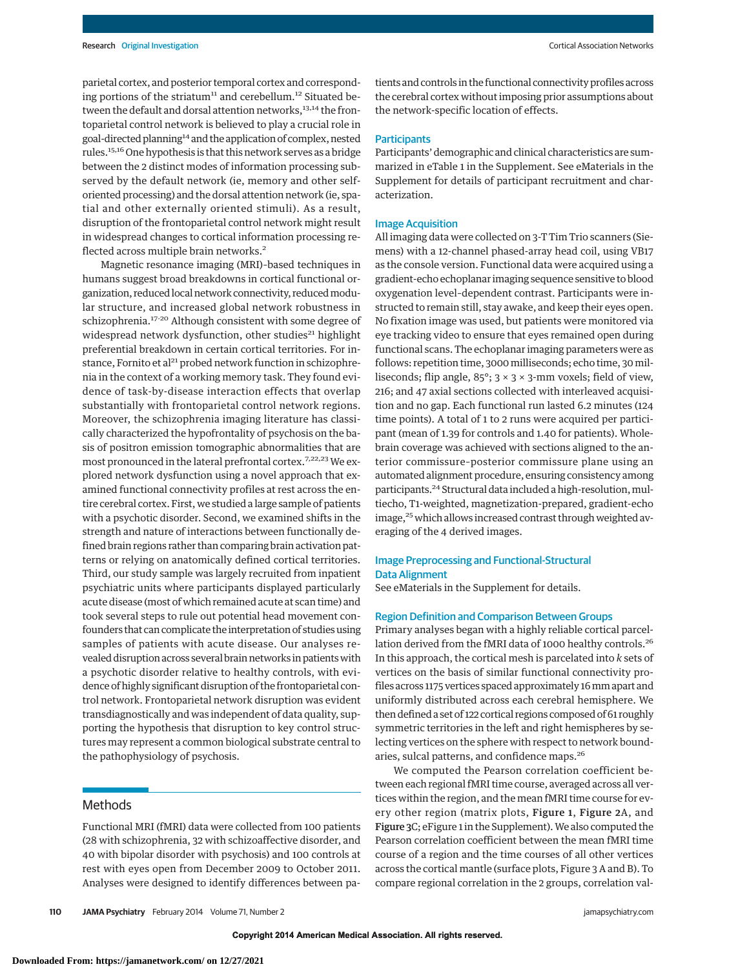parietal cortex, and posterior temporal cortex and corresponding portions of the striatum<sup>11</sup> and cerebellum.<sup>12</sup> Situated between the default and dorsal attention networks,<sup>13,14</sup> the frontoparietal control network is believed to play a crucial role in goal-directed planning<sup>14</sup> and the application of complex, nested rules.<sup>15,16</sup> One hypothesis is that this network serves as a bridge between the 2 distinct modes of information processing subserved by the default network (ie, memory and other selforiented processing) and the dorsal attention network (ie, spatial and other externally oriented stimuli). As a result, disruption of the frontoparietal control network might result in widespread changes to cortical information processing reflected across multiple brain networks.<sup>2</sup>

Magnetic resonance imaging (MRI)–based techniques in humans suggest broad breakdowns in cortical functional organization, reduced local network connectivity, reduced modular structure, and increased global network robustness in schizophrenia.<sup>17-20</sup> Although consistent with some degree of widespread network dysfunction, other studies<sup>21</sup> highlight preferential breakdown in certain cortical territories. For instance, Fornito et al<sup>21</sup> probed network function in schizophrenia in the context of a working memory task. They found evidence of task-by-disease interaction effects that overlap substantially with frontoparietal control network regions. Moreover, the schizophrenia imaging literature has classically characterized the hypofrontality of psychosis on the basis of positron emission tomographic abnormalities that are most pronounced in the lateral prefrontal cortex.<sup>7,22,23</sup> We explored network dysfunction using a novel approach that examined functional connectivity profiles at rest across the entire cerebral cortex. First, we studied a large sample of patients with a psychotic disorder. Second, we examined shifts in the strength and nature of interactions between functionally defined brain regions rather than comparing brain activation patterns or relying on anatomically defined cortical territories. Third, our study sample was largely recruited from inpatient psychiatric units where participants displayed particularly acute disease (most of which remained acute at scan time) and took several steps to rule out potential head movement confounders that can complicate the interpretation of studies using samples of patients with acute disease. Our analyses revealed disruption across several brain networks in patients with a psychotic disorder relative to healthy controls, with evidence of highly significant disruption of the frontoparietal control network. Frontoparietal network disruption was evident transdiagnostically and was independent of data quality, supporting the hypothesis that disruption to key control structures may represent a common biological substrate central to the pathophysiology of psychosis.

# **Methods**

Functional MRI (fMRI) data were collected from 100 patients (28 with schizophrenia, 32 with schizoaffective disorder, and 40 with bipolar disorder with psychosis) and 100 controls at rest with eyes open from December 2009 to October 2011. Analyses were designed to identify differences between patients and controls in the functional connectivity profiles across the cerebral cortex without imposing prior assumptions about the network-specific location of effects.

# **Participants**

Participants' demographic and clinical characteristics are summarized in eTable 1 in the Supplement. See eMaterials in the Supplement for details of participant recruitment and characterization.

## Image Acquisition

All imaging data were collected on 3-T Tim Trio scanners (Siemens) with a 12-channel phased-array head coil, using VB17 as the console version. Functional data were acquired using a gradient-echo echoplanar imaging sequence sensitive to blood oxygenation level–dependent contrast. Participants were instructed to remain still, stay awake, and keep their eyes open. No fixation image was used, but patients were monitored via eye tracking video to ensure that eyes remained open during functional scans. The echoplanar imaging parameters were as follows: repetition time, 3000 milliseconds; echo time, 30 milliseconds; flip angle,  $85^\circ$ ;  $3 \times 3 \times 3$ -mm voxels; field of view, 216; and 47 axial sections collected with interleaved acquisition and no gap. Each functional run lasted 6.2 minutes (124 time points). A total of 1 to 2 runs were acquired per participant (mean of 1.39 for controls and 1.40 for patients). Wholebrain coverage was achieved with sections aligned to the anterior commissure–posterior commissure plane using an automated alignment procedure, ensuring consistency among participants.<sup>24</sup> Structural data included a high-resolution, multiecho, T1-weighted, magnetization-prepared, gradient-echo image,<sup>25</sup> which allows increased contrast through weighted averaging of the 4 derived images.

# Image Preprocessing and Functional-Structural Data Alignment

See eMaterials in the Supplement for details.

## Region Definition and Comparison Between Groups

Primary analyses began with a highly reliable cortical parcellation derived from the fMRI data of 1000 healthy controls.<sup>26</sup> In this approach, the cortical mesh is parcelated into *k* sets of vertices on the basis of similar functional connectivity profiles across 1175 vertices spaced approximately 16mm apart and uniformly distributed across each cerebral hemisphere. We then defined a set of 122 cortical regions composed of 61 roughly symmetric territories in the left and right hemispheres by selecting vertices on the sphere with respect to network boundaries, sulcal patterns, and confidence maps.<sup>26</sup>

We computed the Pearson correlation coefficient between each regional fMRI time course, averaged across all vertices within the region, and the mean fMRI time course for every other region (matrix plots, Figure 1, Figure 2A, and Figure 3C; eFigure 1 in the Supplement).We also computed the Pearson correlation coefficient between the mean fMRI time course of a region and the time courses of all other vertices across the cortical mantle (surface plots, Figure 3 A and B). To compare regional correlation in the 2 groups, correlation val-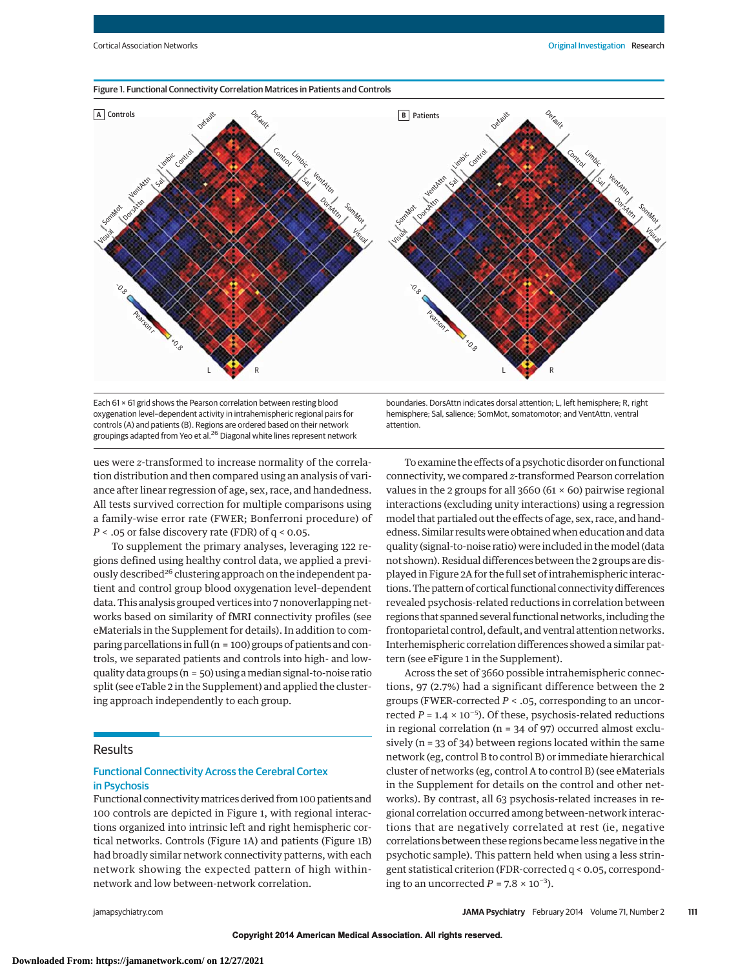

Each 61 × 61 grid shows the Pearson correlation between resting blood oxygenation level–dependent activity in intrahemispheric regional pairs for controls (A) and patients (B). Regions are ordered based on their network groupings adapted from Yeo et al.26 Diagonal white lines represent network

ues were *z*-transformed to increase normality of the correlation distribution and then compared using an analysis of variance after linear regression of age, sex, race, and handedness. All tests survived correction for multiple comparisons using a family-wise error rate (FWER; Bonferroni procedure) of *P* < .05 or false discovery rate (FDR) of q < 0.05.

To supplement the primary analyses, leveraging 122 regions defined using healthy control data, we applied a previously described<sup>26</sup> clustering approach on the independent patient and control group blood oxygenation level–dependent data. This analysis grouped vertices into 7 nonoverlapping networks based on similarity of fMRI connectivity profiles (see eMaterials in the Supplement for details). In addition to comparing parcellations in full (n = 100) groups of patients and controls, we separated patients and controls into high- and lowquality data groups (n = 50) using amedian signal-to-noise ratio split (see eTable 2 in the Supplement) and applied the clustering approach independently to each group.

# Results

# Functional Connectivity Across the Cerebral Cortex in Psychosis

Functional connectivitymatrices derived from 100 patients and 100 controls are depicted in Figure 1, with regional interactions organized into intrinsic left and right hemispheric cortical networks. Controls (Figure 1A) and patients (Figure 1B) had broadly similar network connectivity patterns, with each network showing the expected pattern of high withinnetwork and low between-network correlation.

boundaries. DorsAttn indicates dorsal attention; L, left hemisphere; R, right hemisphere; Sal, salience; SomMot, somatomotor; and VentAttn, ventral attention.

To examine the effects of a psychotic disorder on functional connectivity, we compared *z*-transformed Pearson correlation values in the 2 groups for all 3660 (61  $\times$  60) pairwise regional interactions (excluding unity interactions) using a regression model that partialed out the effects of age, sex, race, and handedness. Similar results were obtained when education and data quality (signal-to-noise ratio) were included in themodel (data not shown). Residual differences between the 2 groups are displayed in Figure 2A for the full set of intrahemispheric interactions. The pattern of cortical functional connectivity differences revealed psychosis-related reductions in correlation between regions that spanned several functional networks, including the frontoparietal control, default, and ventral attention networks. Interhemispheric correlation differences showed a similar pattern (see eFigure 1 in the Supplement).

Across the set of 3660 possible intrahemispheric connections, 97 (2.7%) had a significant difference between the 2 groups (FWER-corrected *P* < .05, corresponding to an uncorrected  $P = 1.4 \times 10^{-5}$ ). Of these, psychosis-related reductions in regional correlation (n = 34 of 97) occurred almost exclusively (n = 33 of 34) between regions located within the same network (eg, control B to control B) or immediate hierarchical cluster of networks (eg, control A to control B) (see eMaterials in the Supplement for details on the control and other networks). By contrast, all 63 psychosis-related increases in regional correlation occurred among between-network interactions that are negatively correlated at rest (ie, negative correlations between these regions became less negative in the psychotic sample). This pattern held when using a less stringent statistical criterion (FDR-corrected q < 0.05, corresponding to an uncorrected  $P = 7.8 \times 10^{-3}$ ).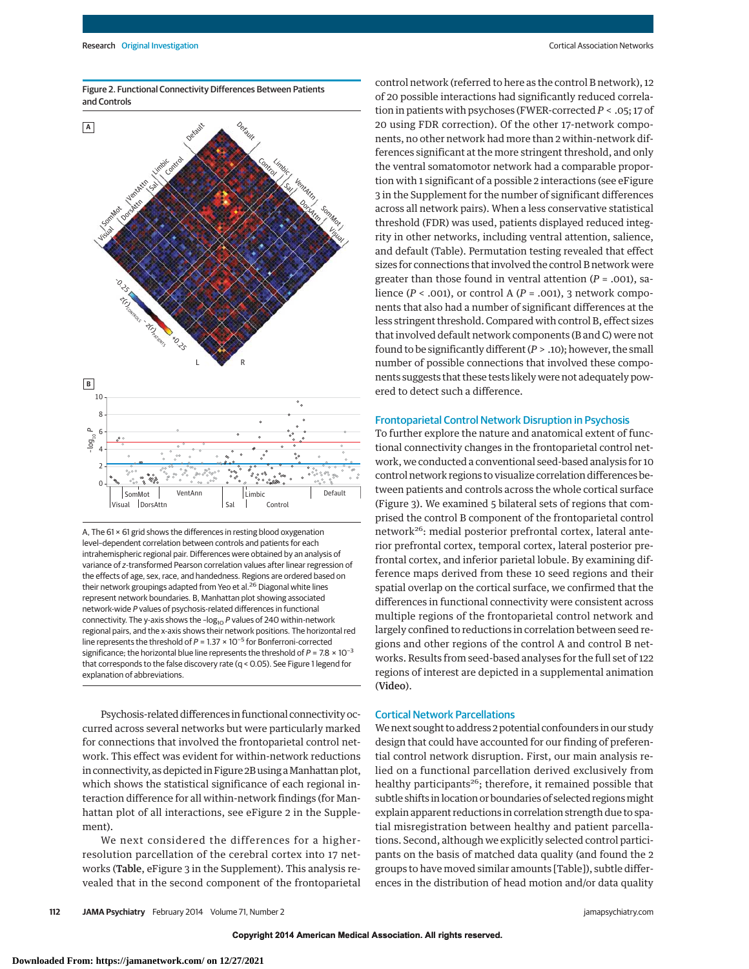Figure 2. Functional Connectivity Differences Between Patients and Controls



A, The 61 × 61 grid shows the differences in resting blood oxygenation level–dependent correlation between controls and patients for each intrahemispheric regional pair. Differences were obtained by an analysis of variance of z-transformed Pearson correlation values after linear regression of the effects of age, sex, race, and handedness. Regions are ordered based on their network groupings adapted from Yeo et al.<sup>26</sup> Diagonal white lines represent network boundaries. B, Manhattan plot showing associated network-wide P values of psychosis-related differences in functional connectivity. The y-axis shows the - $log_{10} P$  values of 240 within-network regional pairs, and the x-axis shows their network positions. The horizontal red line represents the threshold of  $P = 1.37 \times 10^{-5}$  for Bonferroni-corrected significance; the horizontal blue line represents the threshold of  $P = 7.8 \times 10^{-3}$ that corresponds to the false discovery rate (q < 0.05). See Figure 1 legend for explanation of abbreviations.

Psychosis-related differences in functional connectivity occurred across several networks but were particularly marked for connections that involved the frontoparietal control network. This effect was evident for within-network reductions in connectivity, as depicted in Figure 2B using a Manhattan plot, which shows the statistical significance of each regional interaction difference for all within-network findings (for Manhattan plot of all interactions, see eFigure 2 in the Supplement).

We next considered the differences for a higherresolution parcellation of the cerebral cortex into 17 networks (Table, eFigure 3 in the Supplement). This analysis revealed that in the second component of the frontoparietal control network (referred to here as the control B network), 12 of 20 possible interactions had significantly reduced correlation in patients with psychoses (FWER-corrected *P* < .05; 17 of 20 using FDR correction). Of the other 17-network components, no other network had more than 2 within-network differences significant at the more stringent threshold, and only the ventral somatomotor network had a comparable proportion with 1 significant of a possible 2 interactions (see eFigure 3 in the Supplement for the number of significant differences across all network pairs). When a less conservative statistical threshold (FDR) was used, patients displayed reduced integrity in other networks, including ventral attention, salience, and default (Table). Permutation testing revealed that effect sizes for connections that involved the control B network were greater than those found in ventral attention (*P* = .001), salience (*P* < .001), or control A (*P* = .001), 3 network components that also had a number of significant differences at the less stringent threshold. Compared with control B, effect sizes that involved default network components (B and C) were not found to be significantly different (*P* > .10); however, the small number of possible connections that involved these components suggests that these tests likely were not adequately powered to detect such a difference.

## Frontoparietal Control Network Disruption in Psychosis

To further explore the nature and anatomical extent of functional connectivity changes in the frontoparietal control network, we conducted a conventional seed-based analysis for 10 control network regions to visualize correlation differences between patients and controls across the whole cortical surface (Figure 3). We examined 5 bilateral sets of regions that comprised the control B component of the frontoparietal control network26: medial posterior prefrontal cortex, lateral anterior prefrontal cortex, temporal cortex, lateral posterior prefrontal cortex, and inferior parietal lobule. By examining difference maps derived from these 10 seed regions and their spatial overlap on the cortical surface, we confirmed that the differences in functional connectivity were consistent across multiple regions of the frontoparietal control network and largely confined to reductions in correlation between seed regions and other regions of the control A and control B networks. Results from seed-based analyses for the full set of 122 regions of interest are depicted in a supplemental animation (Video).

#### Cortical Network Parcellations

We next sought to address 2 potential confounders in our study design that could have accounted for our finding of preferential control network disruption. First, our main analysis relied on a functional parcellation derived exclusively from healthy participants<sup>26</sup>; therefore, it remained possible that subtle shifts in location or boundaries of selected regions might explain apparent reductions in correlation strength due to spatial misregistration between healthy and patient parcellations. Second, although we explicitly selected control participants on the basis of matched data quality (and found the 2 groups to have moved similar amounts [Table]), subtle differences in the distribution of head motion and/or data quality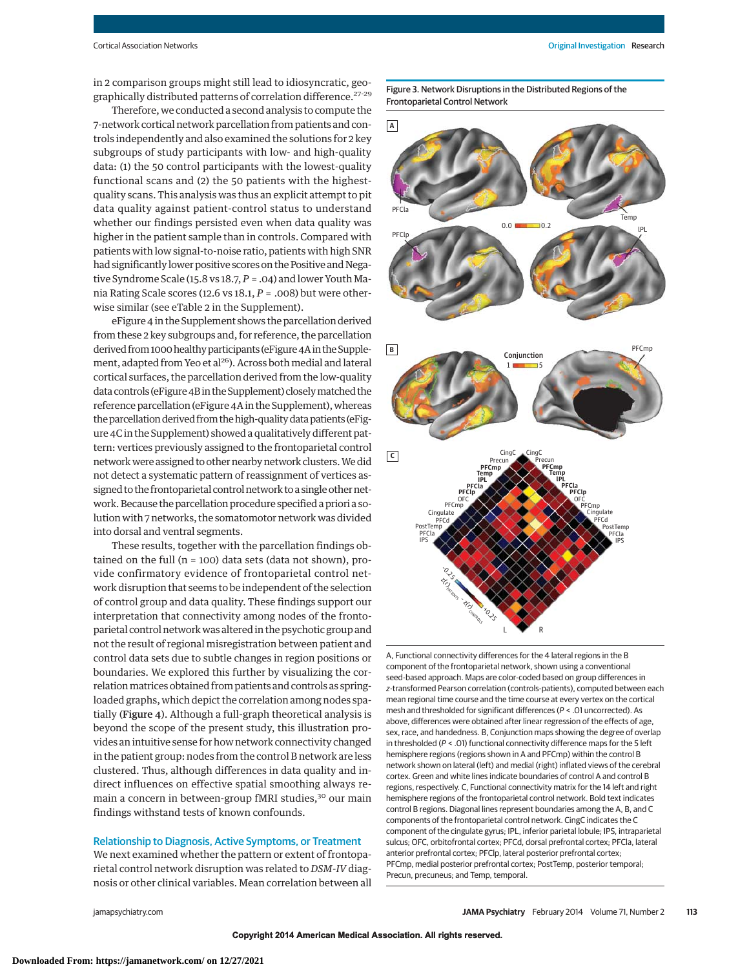in 2 comparison groups might still lead to idiosyncratic, geographically distributed patterns of correlation difference.<sup>27-29</sup>

Therefore, we conducted a second analysis to compute the 7-network cortical network parcellation from patients and controls independently and also examined the solutions for 2 key subgroups of study participants with low- and high-quality data: (1) the 50 control participants with the lowest-quality functional scans and (2) the 50 patients with the highestquality scans. This analysis was thus an explicit attempt to pit data quality against patient-control status to understand whether our findings persisted even when data quality was higher in the patient sample than in controls. Compared with patients with low signal-to-noise ratio, patients with high SNR had significantly lower positive scores on the Positive and Negative Syndrome Scale (15.8 vs 18.7, *P* = .04) and lower Youth Mania Rating Scale scores (12.6 vs 18.1, *P* = .008) but were otherwise similar (see eTable 2 in the Supplement).

eFigure 4 in the Supplement shows the parcellation derived from these 2 key subgroups and, for reference, the parcellation derived from 1000 healthy participants (eFigure 4A in the Supplement, adapted from Yeo et al<sup>26</sup>). Across both medial and lateral cortical surfaces, the parcellation derived from the low-quality data controls (eFigure 4B in the Supplement) closely matched the reference parcellation (eFigure 4A in the Supplement), whereas the parcellation derived from the high-quality data patients (eFigure 4C in the Supplement) showed a qualitatively different pattern: vertices previously assigned to the frontoparietal control network were assigned to other nearby network clusters. We did not detect a systematic pattern of reassignment of vertices assigned to the frontoparietal control network to a single other network. Because the parcellation procedure specified a priori a solution with 7 networks, the somatomotor network was divided into dorsal and ventral segments.

These results, together with the parcellation findings obtained on the full (n = 100) data sets (data not shown), provide confirmatory evidence of frontoparietal control network disruption that seems to be independent of the selection of control group and data quality. These findings support our interpretation that connectivity among nodes of the frontoparietal control network was altered in the psychotic group and not the result of regional misregistration between patient and control data sets due to subtle changes in region positions or boundaries. We explored this further by visualizing the correlation matrices obtained from patients and controls as springloaded graphs, which depict the correlation among nodes spatially (Figure 4). Although a full-graph theoretical analysis is beyond the scope of the present study, this illustration provides an intuitive sense for how network connectivity changed in the patient group: nodes from the control B network are less clustered. Thus, although differences in data quality and indirect influences on effective spatial smoothing always remain a concern in between-group fMRI studies,<sup>30</sup> our main findings withstand tests of known confounds.

#### Relationship to Diagnosis, Active Symptoms, or Treatment

We next examined whether the pattern or extent of frontoparietal control network disruption was related to *DSM-IV* diagnosis or other clinical variables. Mean correlation between all Figure 3. Network Disruptions in the Distributed Regions of the Frontoparietal Control Network



A, Functional connectivity differences for the 4 lateral regions in the B component of the frontoparietal network, shown using a conventional seed-based approach. Maps are color-coded based on group differences in z-transformed Pearson correlation (controls-patients), computed between each mean regional time course and the time course at every vertex on the cortical mesh and thresholded for significant differences (P < .01 uncorrected). As above, differences were obtained after linear regression of the effects of age, sex, race, and handedness. B, Conjunction maps showing the degree of overlap in thresholded ( $P < .01$ ) functional connectivity difference maps for the 5 left hemisphere regions (regions shown in A and PFCmp) within the control B network shown on lateral (left) and medial (right) inflated views of the cerebral cortex. Green and white lines indicate boundaries of control A and control B regions, respectively. C, Functional connectivity matrix for the 14 left and right hemisphere regions of the frontoparietal control network. Bold text indicates control B regions. Diagonal lines represent boundaries among the A, B, and C components of the frontoparietal control network. CingC indicates the C component of the cingulate gyrus; IPL, inferior parietal lobule; IPS, intraparietal sulcus; OFC, orbitofrontal cortex; PFCd, dorsal prefrontal cortex; PFCla, lateral anterior prefrontal cortex; PFClp, lateral posterior prefrontal cortex; PFCmp, medial posterior prefrontal cortex; PostTemp, posterior temporal; Precun, precuneus; and Temp, temporal.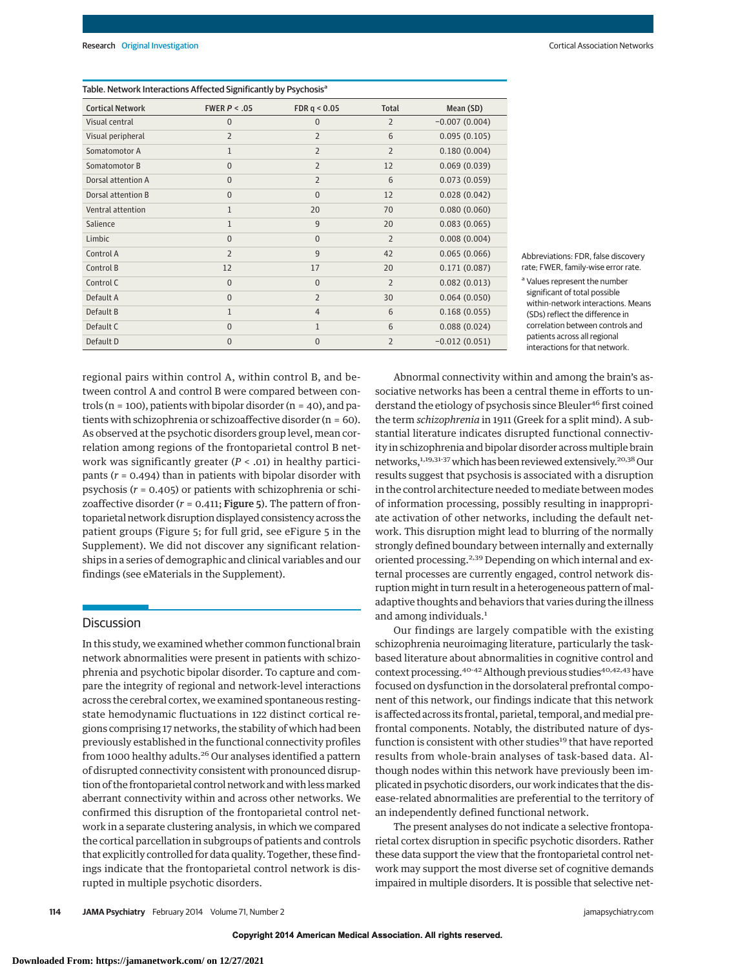| Table. Network Interactions Affected Significantly by Psychosis <sup>a</sup> |                |                |                |                 |
|------------------------------------------------------------------------------|----------------|----------------|----------------|-----------------|
| <b>Cortical Network</b>                                                      | FWER $P < .05$ | FDR $q < 0.05$ | Total          | Mean (SD)       |
| Visual central                                                               | $\Omega$       | $\Omega$       | $\overline{2}$ | $-0.007(0.004)$ |
| Visual peripheral                                                            | $\overline{2}$ | $\overline{2}$ | 6              | 0.095(0.105)    |
| Somatomotor A                                                                | $\mathbf{1}$   | $\overline{2}$ | $\overline{2}$ | 0.180(0.004)    |
| Somatomotor B                                                                | $\Omega$       | $\overline{2}$ | 12             | 0.069(0.039)    |
| Dorsal attention A                                                           | $\Omega$       | $\overline{2}$ | 6              | 0.073(0.059)    |
| Dorsal attention B                                                           | $\mathbf{0}$   | $\Omega$       | 12             | 0.028(0.042)    |
| Ventral attention                                                            | 1              | 20             | 70             | 0.080(0.060)    |
| Salience                                                                     | 1              | 9              | 20             | 0.083(0.065)    |
| Limbic                                                                       | $\Omega$       | $\Omega$       | $\overline{2}$ | 0.008(0.004)    |
| Control A                                                                    | $\overline{2}$ | 9              | 42             | 0.065(0.066)    |
| Control B                                                                    | 12             | 17             | 20             | 0.171(0.087)    |
| Control C                                                                    | $\Omega$       | $\Omega$       | $\overline{2}$ | 0.082(0.013)    |
| Default A                                                                    | $\Omega$       | $\overline{2}$ | 30             | 0.064(0.050)    |
| Default B                                                                    | $\mathbf{1}$   | $\overline{4}$ | 6              | 0.168(0.055)    |
| Default C                                                                    | $\Omega$       | $\mathbf{1}$   | 6              | 0.088(0.024)    |
| Default D                                                                    | $\Omega$       | $\overline{0}$ | $\overline{2}$ | $-0.012(0.051)$ |

Abbreviations: FDR, false discovery rate; FWER, family-wise error rate. <sup>a</sup> Values represent the number significant of total possible within-network interactions. Means (SDs) reflect the difference in correlation between controls and patients across all regional interactions for that network.

regional pairs within control A, within control B, and between control A and control B were compared between controls ( $n = 100$ ), patients with bipolar disorder ( $n = 40$ ), and patients with schizophrenia or schizoaffective disorder (n = 60). As observed at the psychotic disorders group level, mean correlation among regions of the frontoparietal control B network was significantly greater (*P* < .01) in healthy participants (*r* = 0.494) than in patients with bipolar disorder with psychosis (*r* = 0.405) or patients with schizophrenia or schizoaffective disorder  $(r = 0.411;$  **Figure 5**). The pattern of frontoparietal network disruption displayed consistency across the patient groups (Figure 5; for full grid, see eFigure 5 in the Supplement). We did not discover any significant relationships in a series of demographic and clinical variables and our findings (see eMaterials in the Supplement).

# **Discussion**

In this study, we examined whether common functional brain network abnormalities were present in patients with schizophrenia and psychotic bipolar disorder. To capture and compare the integrity of regional and network-level interactions across the cerebral cortex, we examined spontaneous restingstate hemodynamic fluctuations in 122 distinct cortical regions comprising 17 networks, the stability of which had been previously established in the functional connectivity profiles from 1000 healthy adults.<sup>26</sup> Our analyses identified a pattern of disrupted connectivity consistent with pronounced disruption of the frontoparietal control network and with lessmarked aberrant connectivity within and across other networks. We confirmed this disruption of the frontoparietal control network in a separate clustering analysis, in which we compared the cortical parcellation in subgroups of patients and controls that explicitly controlled for data quality. Together, these findings indicate that the frontoparietal control network is disrupted in multiple psychotic disorders.

Abnormal connectivity within and among the brain's associative networks has been a central theme in efforts to understand the etiology of psychosis since Bleuler<sup>46</sup> first coined the term *schizophrenia* in 1911 (Greek for a split mind). A substantial literature indicates disrupted functional connectivity in schizophrenia and bipolar disorder across multiple brain networks,<sup>1,19,31-37</sup> which has been reviewed extensively.<sup>20,38</sup> Our results suggest that psychosis is associated with a disruption in the control architecture needed to mediate between modes of information processing, possibly resulting in inappropriate activation of other networks, including the default network. This disruption might lead to blurring of the normally strongly defined boundary between internally and externally oriented processing.2,39 Depending on which internal and external processes are currently engaged, control network disruption might in turn result in a heterogeneous pattern of maladaptive thoughts and behaviors that varies during the illness and among individuals. $<sup>1</sup>$ </sup>

Our findings are largely compatible with the existing schizophrenia neuroimaging literature, particularly the taskbased literature about abnormalities in cognitive control and context processing.<sup>40-42</sup> Although previous studies<sup>40,42,43</sup> have focused on dysfunction in the dorsolateral prefrontal component of this network, our findings indicate that this network is affected across its frontal, parietal, temporal, and medial prefrontal components. Notably, the distributed nature of dysfunction is consistent with other studies<sup>19</sup> that have reported results from whole-brain analyses of task-based data. Although nodes within this network have previously been implicated in psychotic disorders, our work indicates that the disease-related abnormalities are preferential to the territory of an independently defined functional network.

The present analyses do not indicate a selective frontoparietal cortex disruption in specific psychotic disorders. Rather these data support the view that the frontoparietal control network may support the most diverse set of cognitive demands impaired in multiple disorders. It is possible that selective net-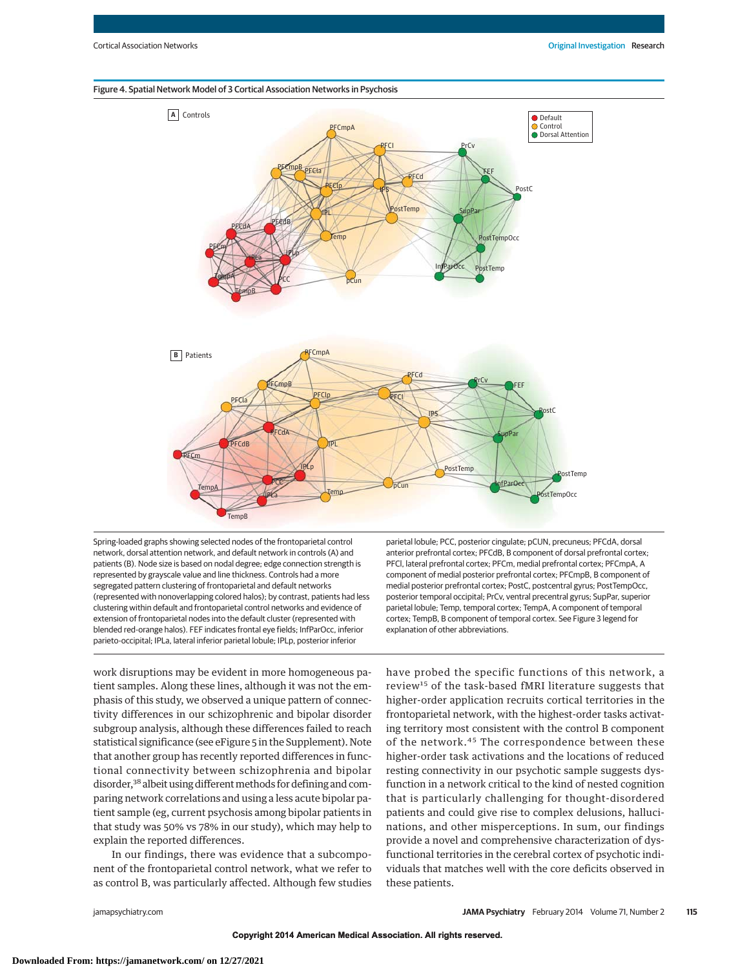#### Figure 4. Spatial Network Model of 3 Cortical Association Networks in Psychosis



Spring-loaded graphs showing selected nodes of the frontoparietal control network, dorsal attention network, and default network in controls (A) and patients (B). Node size is based on nodal degree; edge connection strength is represented by grayscale value and line thickness. Controls had a more segregated pattern clustering of frontoparietal and default networks (represented with nonoverlapping colored halos); by contrast, patients had less clustering within default and frontoparietal control networks and evidence of extension of frontoparietal nodes into the default cluster (represented with blended red-orange halos). FEF indicates frontal eye fields; InfParOcc, inferior parieto-occipital; IPLa, lateral inferior parietal lobule; IPLp, posterior inferior

parietal lobule; PCC, posterior cingulate; pCUN, precuneus; PFCdA, dorsal anterior prefrontal cortex; PFCdB, B component of dorsal prefrontal cortex; PFCl, lateral prefrontal cortex; PFCm, medial prefrontal cortex; PFCmpA, A component of medial posterior prefrontal cortex; PFCmpB, B component of medial posterior prefrontal cortex; PostC, postcentral gyrus; PostTempOcc, posterior temporal occipital; PrCv, ventral precentral gyrus; SupPar, superior parietal lobule; Temp, temporal cortex; TempA, A component of temporal cortex; TempB, B component of temporal cortex. See Figure 3 legend for explanation of other abbreviations.

work disruptions may be evident in more homogeneous patient samples. Along these lines, although it was not the emphasis of this study, we observed a unique pattern of connectivity differences in our schizophrenic and bipolar disorder subgroup analysis, although these differences failed to reach statistical significance (see eFigure 5 in the Supplement). Note that another group has recently reported differences in functional connectivity between schizophrenia and bipolar disorder,<sup>38</sup> albeit using different methods for defining and comparing network correlations and using a less acute bipolar patient sample (eg, current psychosis among bipolar patients in that study was 50% vs 78% in our study), which may help to explain the reported differences.

In our findings, there was evidence that a subcomponent of the frontoparietal control network, what we refer to as control B, was particularly affected. Although few studies have probed the specific functions of this network, a review<sup>15</sup> of the task-based fMRI literature suggests that higher-order application recruits cortical territories in the frontoparietal network, with the highest-order tasks activating territory most consistent with the control B component of the network.<sup>45</sup> The correspondence between these higher-order task activations and the locations of reduced resting connectivity in our psychotic sample suggests dysfunction in a network critical to the kind of nested cognition that is particularly challenging for thought-disordered patients and could give rise to complex delusions, hallucinations, and other misperceptions. In sum, our findings provide a novel and comprehensive characterization of dysfunctional territories in the cerebral cortex of psychotic individuals that matches well with the core deficits observed in these patients.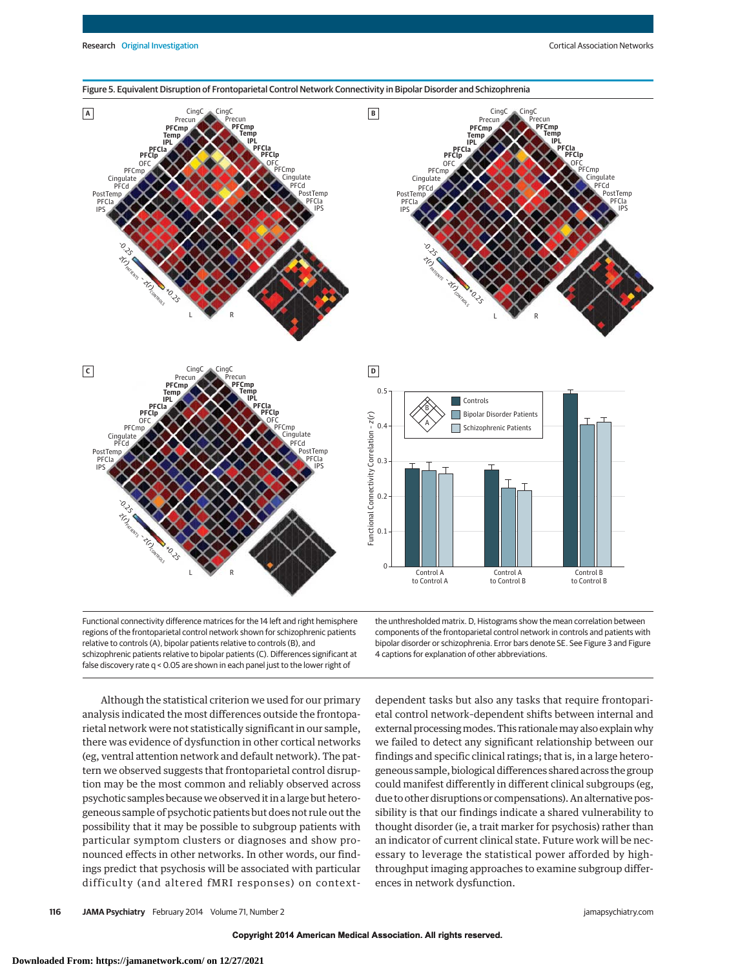

Functional connectivity difference matrices for the 14 left and right hemisphere regions of the frontoparietal control network shown for schizophrenic patients relative to controls (A), bipolar patients relative to controls (B), and schizophrenic patients relative to bipolar patients (C). Differences significant at false discovery rate q < 0.05 are shown in each panel just to the lower right of

the unthresholded matrix. D, Histograms show the mean correlation between components of the frontoparietal control network in controls and patients with bipolar disorder or schizophrenia. Error bars denote SE. See Figure 3 and Figure 4 captions for explanation of other abbreviations.

Although the statistical criterion we used for our primary analysis indicated the most differences outside the frontoparietal network were not statistically significant in our sample, there was evidence of dysfunction in other cortical networks (eg, ventral attention network and default network). The pattern we observed suggests that frontoparietal control disruption may be the most common and reliably observed across psychotic samples because we observed it in a large but heterogeneous sample of psychotic patients but does not rule out the possibility that it may be possible to subgroup patients with particular symptom clusters or diagnoses and show pronounced effects in other networks. In other words, our findings predict that psychosis will be associated with particular difficulty (and altered fMRI responses) on contextdependent tasks but also any tasks that require frontoparietal control network–dependent shifts between internal and external processing modes. This rationale may also explain why we failed to detect any significant relationship between our findings and specific clinical ratings; that is, in a large heterogeneous sample, biological differences shared across the group could manifest differently in different clinical subgroups (eg, due to other disruptions or compensations). An alternative possibility is that our findings indicate a shared vulnerability to thought disorder (ie, a trait marker for psychosis) rather than an indicator of current clinical state. Future work will be necessary to leverage the statistical power afforded by highthroughput imaging approaches to examine subgroup differences in network dysfunction.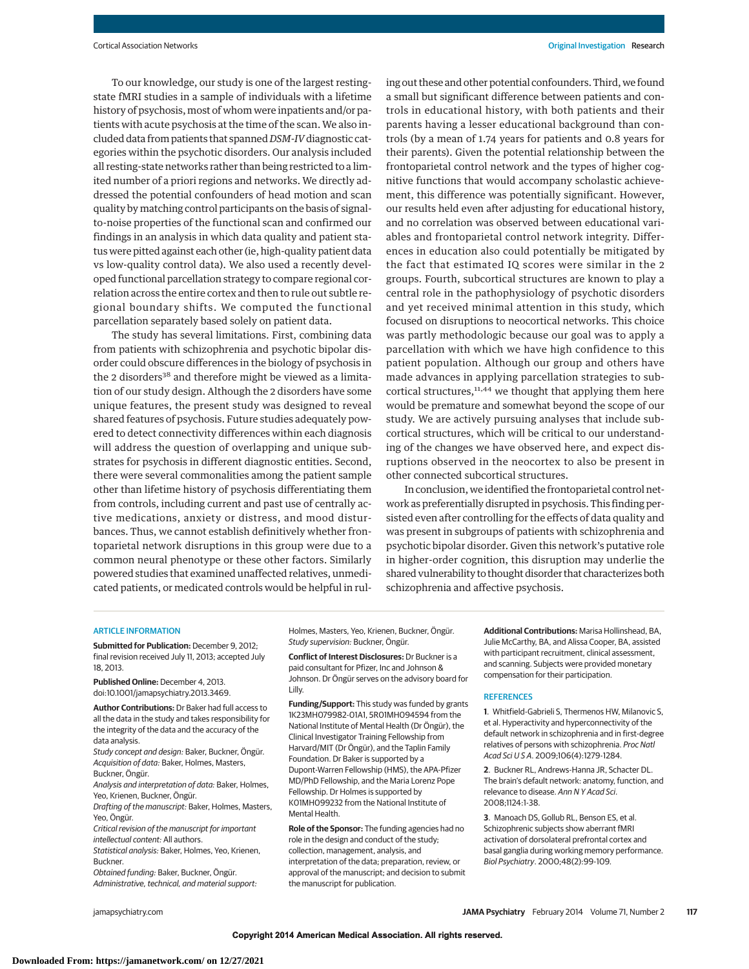To our knowledge, our study is one of the largest restingstate fMRI studies in a sample of individuals with a lifetime history of psychosis, most of whom were inpatients and/or patients with acute psychosis at the time of the scan. We also included data from patients that spanned *DSM-IV*diagnostic categories within the psychotic disorders. Our analysis included all resting-state networks rather than being restricted to a limited number of a priori regions and networks. We directly addressed the potential confounders of head motion and scan quality by matching control participants on the basis of signalto-noise properties of the functional scan and confirmed our findings in an analysis in which data quality and patient status were pitted against each other (ie, high-quality patient data vs low-quality control data). We also used a recently developed functional parcellation strategy to compare regional correlation across the entire cortex and then to rule out subtle regional boundary shifts. We computed the functional parcellation separately based solely on patient data.

The study has several limitations. First, combining data from patients with schizophrenia and psychotic bipolar disorder could obscure differences in the biology of psychosis in the 2 disorders<sup>38</sup> and therefore might be viewed as a limitation of our study design. Although the 2 disorders have some unique features, the present study was designed to reveal shared features of psychosis. Future studies adequately powered to detect connectivity differences within each diagnosis will address the question of overlapping and unique substrates for psychosis in different diagnostic entities. Second, there were several commonalities among the patient sample other than lifetime history of psychosis differentiating them from controls, including current and past use of centrally active medications, anxiety or distress, and mood disturbances. Thus, we cannot establish definitively whether frontoparietal network disruptions in this group were due to a common neural phenotype or these other factors. Similarly powered studies that examined unaffected relatives, unmedicated patients, or medicated controls would be helpful in ruling out these and other potential confounders. Third, we found a small but significant difference between patients and controls in educational history, with both patients and their parents having a lesser educational background than controls (by a mean of 1.74 years for patients and 0.8 years for their parents). Given the potential relationship between the frontoparietal control network and the types of higher cognitive functions that would accompany scholastic achievement, this difference was potentially significant. However, our results held even after adjusting for educational history, and no correlation was observed between educational variables and frontoparietal control network integrity. Differences in education also could potentially be mitigated by the fact that estimated IQ scores were similar in the 2 groups. Fourth, subcortical structures are known to play a central role in the pathophysiology of psychotic disorders and yet received minimal attention in this study, which focused on disruptions to neocortical networks. This choice was partly methodologic because our goal was to apply a parcellation with which we have high confidence to this patient population. Although our group and others have made advances in applying parcellation strategies to subcortical structures, $11,44$  we thought that applying them here would be premature and somewhat beyond the scope of our study. We are actively pursuing analyses that include subcortical structures, which will be critical to our understanding of the changes we have observed here, and expect disruptions observed in the neocortex to also be present in other connected subcortical structures.

In conclusion, we identified the frontoparietal control network as preferentially disrupted in psychosis. This finding persisted even after controlling for the effects of data quality and was present in subgroups of patients with schizophrenia and psychotic bipolar disorder. Given this network's putative role in higher-order cognition, this disruption may underlie the shared vulnerability to thought disorder that characterizes both schizophrenia and affective psychosis.

## **ARTICLE INFORMATION**

**Submitted for Publication:** December 9, 2012; final revision received July 11, 2013; accepted July 18, 2013.

**Published Online:** December 4, 2013. doi:10.1001/jamapsychiatry.2013.3469.

**Author Contributions:** Dr Baker had full access to all the data in the study and takes responsibility for the integrity of the data and the accuracy of the data analysis.

Study concept and design: Baker, Buckner, Öngür. Acquisition of data: Baker, Holmes, Masters, Buckner, Öngür.

Analysis and interpretation of data: Baker, Holmes, Yeo, Krienen, Buckner, Öngür.

Drafting of the manuscript: Baker, Holmes, Masters, Yeo, Öngür.

Critical revision of the manuscript for important intellectual content: All authors.

Statistical analysis: Baker, Holmes, Yeo, Krienen, Buckner.

Obtained funding: Baker, Buckner, Öngür. Administrative, technical, and material support: Holmes, Masters, Yeo, Krienen, Buckner, Öngür. Study supervision: Buckner, Öngür.

**Conflict of Interest Disclosures:** Dr Buckner is a paid consultant for Pfizer, Inc and Johnson & Johnson. Dr Öngür serves on the advisory board for Lilly.

**Funding/Support:** This study was funded by grants 1K23MH079982-01A1, 5R01MH094594 from the National Institute of Mental Health (Dr Öngür), the Clinical Investigator Training Fellowship from Harvard/MIT (Dr Öngür), and the Taplin Family Foundation. Dr Baker is supported by a Dupont-Warren Fellowship (HMS), the APA-Pfizer MD/PhD Fellowship, and the Maria Lorenz Pope Fellowship. Dr Holmes is supported by K01MH099232 from the National Institute of Mental Health.

**Role of the Sponsor:** The funding agencies had no role in the design and conduct of the study; collection, management, analysis, and interpretation of the data; preparation, review, or approval of the manuscript; and decision to submit the manuscript for publication.

**Additional Contributions:** Marisa Hollinshead, BA, Julie McCarthy, BA, and Alissa Cooper, BA, assisted with participant recruitment, clinical assessment. and scanning. Subjects were provided monetary compensation for their participation.

#### **REFERENCES**

**1**. Whitfield-Gabrieli S, Thermenos HW, Milanovic S, et al. Hyperactivity and hyperconnectivity of the default network in schizophrenia and in first-degree relatives of persons with schizophrenia. Proc Natl Acad SciUSA. 2009;106(4):1279-1284.

**2**. Buckner RL, Andrews-Hanna JR, Schacter DL. The brain's default network: anatomy, function, and relevance to disease. Ann N Y Acad Sci. 2008;1124:1-38.

**3**. Manoach DS, Gollub RL, Benson ES, et al. Schizophrenic subjects show aberrant fMRI activation of dorsolateral prefrontal cortex and basal ganglia during working memory performance. Biol Psychiatry. 2000;48(2):99-109.